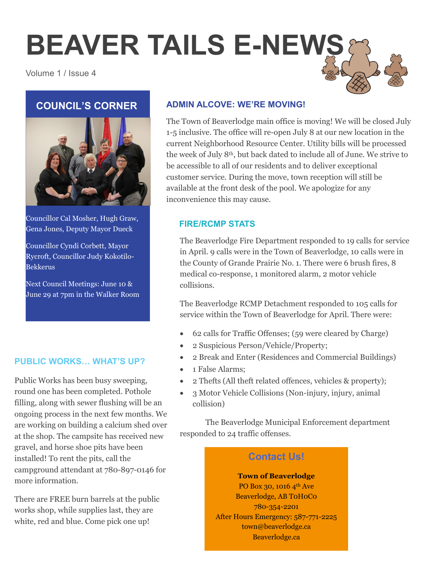# **BEAVER TAILS E-NEWS**

Volume 1 / Issue 4

# **COUNCIL'S CORNER**



Councillor Cal Mosher, Hugh Graw, Gena Jones, Deputy Mayor Dueck

Councillor Cyndi Corbett, Mayor Rycroft, Councillor Judy Kokotilo-Bekkerus

Next Council Meetings: June 10 & June 29 at 7pm in the Walker Room

## **PUBLIC WORKS… WHAT'S UP?**

Public Works has been busy sweeping, round one has been completed. Pothole filling, along with sewer flushing will be an ongoing process in the next few months. We are working on building a calcium shed over at the shop. The campsite has received new gravel, and horse shoe pits have been installed! To rent the pits, call the campground attendant at 780-897-0146 for more information.

There are FREE burn barrels at the public works shop, while supplies last, they are white, red and blue. Come pick one up!

# **ADMIN ALCOVE: WE'RE MOVING!**

The Town of Beaverlodge main office is moving! We will be closed July 1-5 inclusive. The office will re-open July 8 at our new location in the current Neighborhood Resource Center. Utility bills will be processed the week of July 8th, but back dated to include all of June. We strive to be accessible to all of our residents and to deliver exceptional customer service. During the move, town reception will still be available at the front desk of the pool. We apologize for any inconvenience this may cause.

## **FIRE/RCMP STATS**

The Beaverlodge Fire Department responded to 19 calls for service in April. 9 calls were in the Town of Beaverlodge, 10 calls were in the County of Grande Prairie No. 1. There were 6 brush fires, 8 medical co-response, 1 monitored alarm, 2 motor vehicle collisions.

The Beaverlodge RCMP Detachment responded to 105 calls for service within the Town of Beaverlodge for April. There were:

- 62 calls for Traffic Offenses; (59 were cleared by Charge)
- 2 Suspicious Person/Vehicle/Property;
- 2 Break and Enter (Residences and Commercial Buildings)
- 1 False Alarms:
- 2 Thefts (All theft related offences, vehicles & property);
- 3 Motor Vehicle Collisions (Non-injury, injury, animal collision)

The Beaverlodge Municipal Enforcement department responded to 24 traffic offenses.

# **Contact Us!**

**Town of Beaverlodge** PO Box 30, 1016 4<sup>th</sup> Ave Beaverlodge, AB T0H0C0 780-354-2201 After Hours Emergency: 587-771-2225 town@beaverlodge.ca Beaverlodge.ca